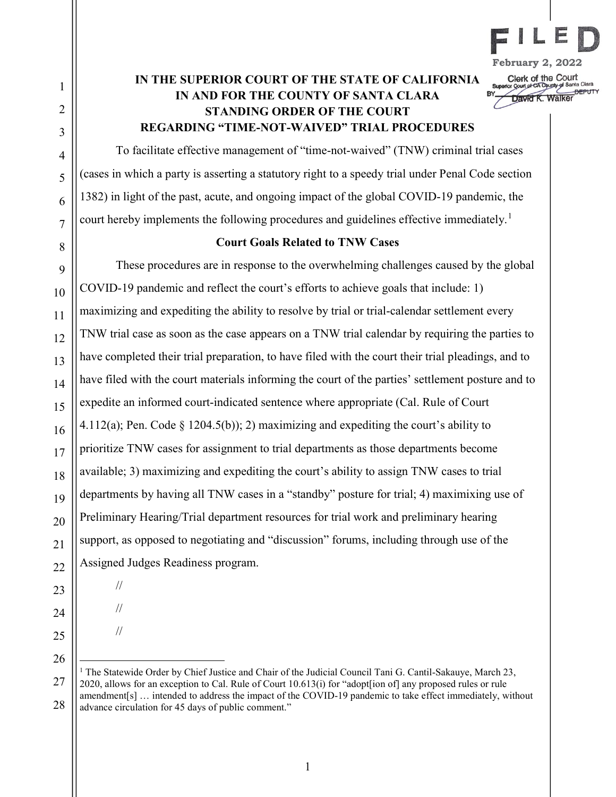

UHOR UT LITE COURT<br>uperior Court of CA County of Santa Clara David K. Walker

# IN THE SUPERIOR COURT OF THE STATE OF CALIFORNIA IN AND FOR THE COUNTY OF SANTA CLARA STANDING ORDER OF THE COURT REGARDING "TIME-NOT-WAIVED" TRIAL PROCEDURES

To facilitate effective management of "time-not-waived" (TNW) criminal trial cases (cases in which a party is asserting a statutory right to a speedy trial under Penal Code section 1382) in light of the past, acute, and ongoing impact of the global COVID-19 pandemic, the court hereby implements the following procedures and guidelines effective immediately.<sup>1</sup>

# Court Goals Related to TNW Cases

These procedures are in response to the overwhelming challenges caused by the global COVID-19 pandemic and reflect the court's efforts to achieve goals that include: 1) maximizing and expediting the ability to resolve by trial or trial-calendar settlement every TNW trial case as soon as the case appears on a TNW trial calendar by requiring the parties to have completed their trial preparation, to have filed with the court their trial pleadings, and to have filed with the court materials informing the court of the parties' settlement posture and to expedite an informed court-indicated sentence where appropriate (Cal. Rule of Court 4.112(a); Pen. Code  $\S$  1204.5(b)); 2) maximizing and expediting the court's ability to prioritize TNW cases for assignment to trial departments as those departments become available; 3) maximizing and expediting the court's ability to assign TNW cases to trial departments by having all TNW cases in a "standby" posture for trial; 4) maximixing use of Preliminary Hearing/Trial department resources for trial work and preliminary hearing support, as opposed to negotiating and "discussion" forums, including through use of the Assigned Judges Readiness program.

- 23
- 

//

//

//

<sup>28</sup> <sup>1</sup> The Statewide Order by Chief Justice and Chair of the Judicial Council Tani G. Cantil-Sakauye, March 23, 2020, allows for an exception to Cal. Rule of Court 10.613(i) for "adopt[ion of] any proposed rules or rule amendment[s] … intended to address the impact of the COVID-19 pandemic to take effect immediately, without advance circulation for 45 days of public comment."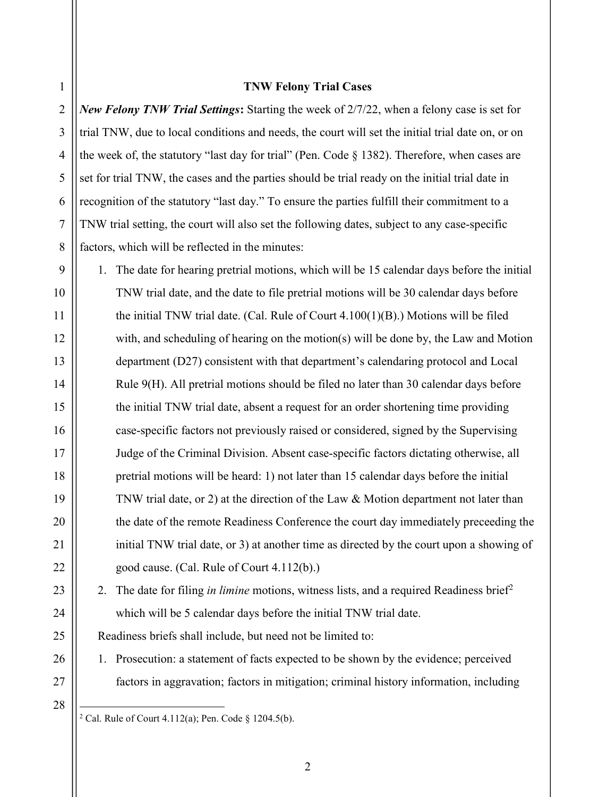#### TNW Felony Trial Cases

2 3 4 5 6 7 8 New Felony TNW Trial Settings: Starting the week of 2/7/22, when a felony case is set for trial TNW, due to local conditions and needs, the court will set the initial trial date on, or on the week of, the statutory "last day for trial" (Pen. Code § 1382). Therefore, when cases are set for trial TNW, the cases and the parties should be trial ready on the initial trial date in recognition of the statutory "last day." To ensure the parties fulfill their commitment to a TNW trial setting, the court will also set the following dates, subject to any case-specific factors, which will be reflected in the minutes:

9 10 11 12 13 14 15 16 17 18 19 20 21 22 1. The date for hearing pretrial motions, which will be 15 calendar days before the initial TNW trial date, and the date to file pretrial motions will be 30 calendar days before the initial TNW trial date. (Cal. Rule of Court 4.100(1)(B).) Motions will be filed with, and scheduling of hearing on the motion(s) will be done by, the Law and Motion department (D27) consistent with that department's calendaring protocol and Local Rule 9(H). All pretrial motions should be filed no later than 30 calendar days before the initial TNW trial date, absent a request for an order shortening time providing case-specific factors not previously raised or considered, signed by the Supervising Judge of the Criminal Division. Absent case-specific factors dictating otherwise, all pretrial motions will be heard: 1) not later than 15 calendar days before the initial TNW trial date, or 2) at the direction of the Law & Motion department not later than the date of the remote Readiness Conference the court day immediately preceeding the initial TNW trial date, or 3) at another time as directed by the court upon a showing of good cause. (Cal. Rule of Court 4.112(b).)

2. The date for filing in limine motions, witness lists, and a required Readiness brief<sup>2</sup> which will be 5 calendar days before the initial TNW trial date.

Readiness briefs shall include, but need not be limited to:

- 1. Prosecution: a statement of facts expected to be shown by the evidence; perceived factors in aggravation; factors in mitigation; criminal history information, including
- 28

 $\overline{a}$ 

23

24

25

26

27

<sup>&</sup>lt;sup>2</sup> Cal. Rule of Court 4.112(a); Pen. Code § 1204.5(b).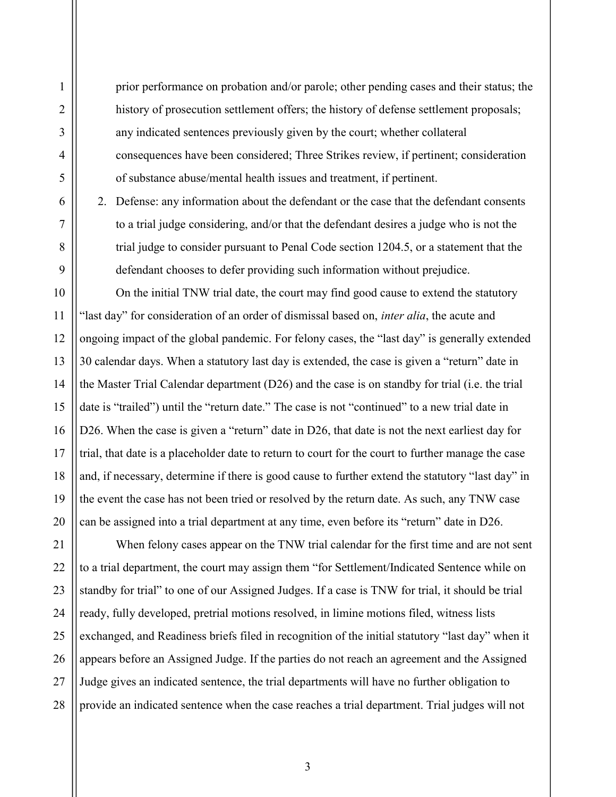prior performance on probation and/or parole; other pending cases and their status; the history of prosecution settlement offers; the history of defense settlement proposals; any indicated sentences previously given by the court; whether collateral consequences have been considered; Three Strikes review, if pertinent; consideration of substance abuse/mental health issues and treatment, if pertinent.

2. Defense: any information about the defendant or the case that the defendant consents to a trial judge considering, and/or that the defendant desires a judge who is not the trial judge to consider pursuant to Penal Code section 1204.5, or a statement that the defendant chooses to defer providing such information without prejudice.

20 On the initial TNW trial date, the court may find good cause to extend the statutory "last day" for consideration of an order of dismissal based on, *inter alia*, the acute and ongoing impact of the global pandemic. For felony cases, the "last day" is generally extended 30 calendar days. When a statutory last day is extended, the case is given a "return" date in the Master Trial Calendar department (D26) and the case is on standby for trial (i.e. the trial date is "trailed") until the "return date." The case is not "continued" to a new trial date in D26. When the case is given a "return" date in D26, that date is not the next earliest day for trial, that date is a placeholder date to return to court for the court to further manage the case and, if necessary, determine if there is good cause to further extend the statutory "last day" in the event the case has not been tried or resolved by the return date. As such, any TNW case can be assigned into a trial department at any time, even before its "return" date in D26.

21 22 23 24 25 26 27 28 When felony cases appear on the TNW trial calendar for the first time and are not sent to a trial department, the court may assign them "for Settlement/Indicated Sentence while on standby for trial" to one of our Assigned Judges. If a case is TNW for trial, it should be trial ready, fully developed, pretrial motions resolved, in limine motions filed, witness lists exchanged, and Readiness briefs filed in recognition of the initial statutory "last day" when it appears before an Assigned Judge. If the parties do not reach an agreement and the Assigned Judge gives an indicated sentence, the trial departments will have no further obligation to provide an indicated sentence when the case reaches a trial department. Trial judges will not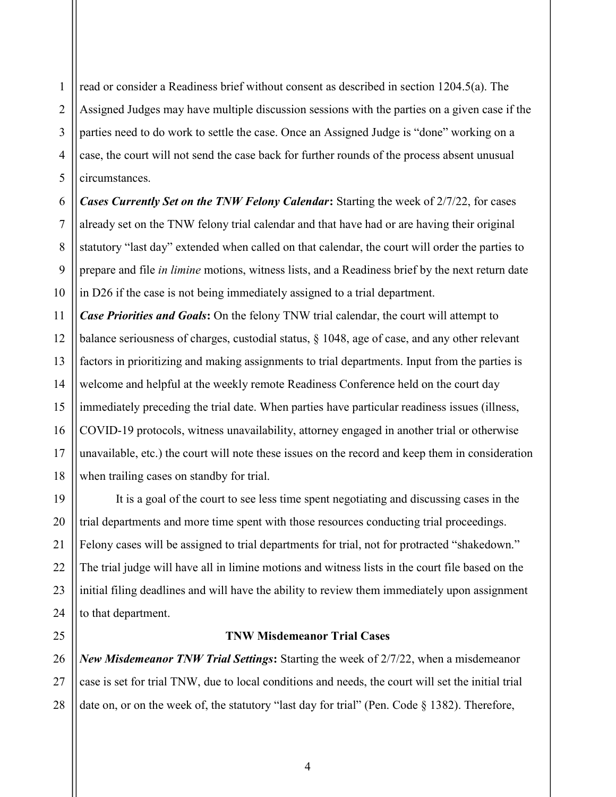1 2 3 4 5 read or consider a Readiness brief without consent as described in section 1204.5(a). The Assigned Judges may have multiple discussion sessions with the parties on a given case if the parties need to do work to settle the case. Once an Assigned Judge is "done" working on a case, the court will not send the case back for further rounds of the process absent unusual circumstances.

6 7 8 9 10 Cases Currently Set on the TNW Felony Calendar: Starting the week of 2/7/22, for cases already set on the TNW felony trial calendar and that have had or are having their original statutory "last day" extended when called on that calendar, the court will order the parties to prepare and file *in limine* motions, witness lists, and a Readiness brief by the next return date in D26 if the case is not being immediately assigned to a trial department.

11 12 13 14 15 16 17 18 **Case Priorities and Goals:** On the felony TNW trial calendar, the court will attempt to balance seriousness of charges, custodial status, § 1048, age of case, and any other relevant factors in prioritizing and making assignments to trial departments. Input from the parties is welcome and helpful at the weekly remote Readiness Conference held on the court day immediately preceding the trial date. When parties have particular readiness issues (illness, COVID-19 protocols, witness unavailability, attorney engaged in another trial or otherwise unavailable, etc.) the court will note these issues on the record and keep them in consideration when trailing cases on standby for trial.

19 20 21 22 23 24 It is a goal of the court to see less time spent negotiating and discussing cases in the trial departments and more time spent with those resources conducting trial proceedings. Felony cases will be assigned to trial departments for trial, not for protracted "shakedown." The trial judge will have all in limine motions and witness lists in the court file based on the initial filing deadlines and will have the ability to review them immediately upon assignment to that department.

25

## TNW Misdemeanor Trial Cases

26 27 28 New Misdemeanor TNW Trial Settings: Starting the week of 2/7/22, when a misdemeanor case is set for trial TNW, due to local conditions and needs, the court will set the initial trial date on, or on the week of, the statutory "last day for trial" (Pen. Code § 1382). Therefore,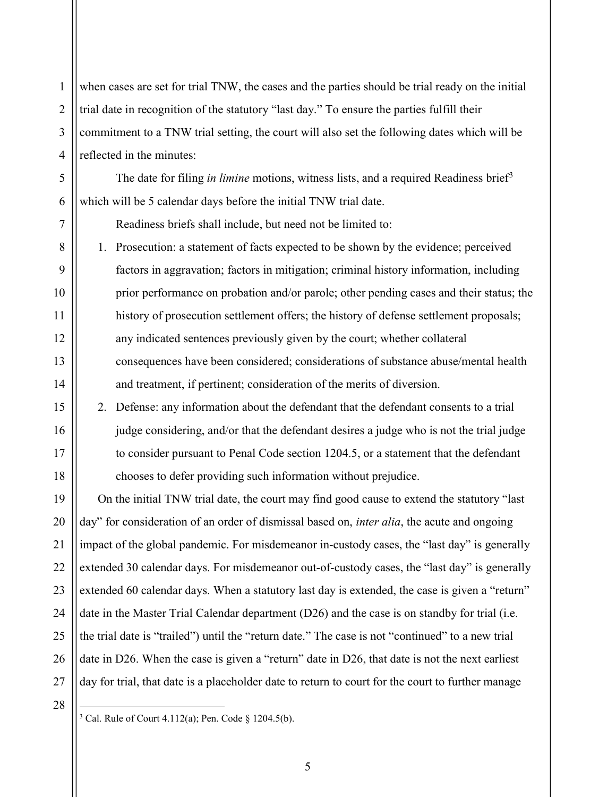1 2 3 4 when cases are set for trial TNW, the cases and the parties should be trial ready on the initial trial date in recognition of the statutory "last day." To ensure the parties fulfill their commitment to a TNW trial setting, the court will also set the following dates which will be reflected in the minutes:

The date for filing *in limine* motions, witness lists, and a required Readiness brief<sup>3</sup> which will be 5 calendar days before the initial TNW trial date.

Readiness briefs shall include, but need not be limited to:

1. Prosecution: a statement of facts expected to be shown by the evidence; perceived factors in aggravation; factors in mitigation; criminal history information, including prior performance on probation and/or parole; other pending cases and their status; the history of prosecution settlement offers; the history of defense settlement proposals; any indicated sentences previously given by the court; whether collateral consequences have been considered; considerations of substance abuse/mental health and treatment, if pertinent; consideration of the merits of diversion.

2. Defense: any information about the defendant that the defendant consents to a trial judge considering, and/or that the defendant desires a judge who is not the trial judge to consider pursuant to Penal Code section 1204.5, or a statement that the defendant chooses to defer providing such information without prejudice.

19 20 21 22 23 24 25 26 27 On the initial TNW trial date, the court may find good cause to extend the statutory "last day" for consideration of an order of dismissal based on, *inter alia*, the acute and ongoing impact of the global pandemic. For misdemeanor in-custody cases, the "last day" is generally extended 30 calendar days. For misdemeanor out-of-custody cases, the "last day" is generally extended 60 calendar days. When a statutory last day is extended, the case is given a "return" date in the Master Trial Calendar department (D26) and the case is on standby for trial (i.e. the trial date is "trailed") until the "return date." The case is not "continued" to a new trial date in D26. When the case is given a "return" date in D26, that date is not the next earliest day for trial, that date is a placeholder date to return to court for the court to further manage

28

 $\overline{a}$ 

5

6

7

8

9

10

11

12

13

14

15

16

17

<sup>&</sup>lt;sup>3</sup> Cal. Rule of Court 4.112(a); Pen. Code  $\S$  1204.5(b).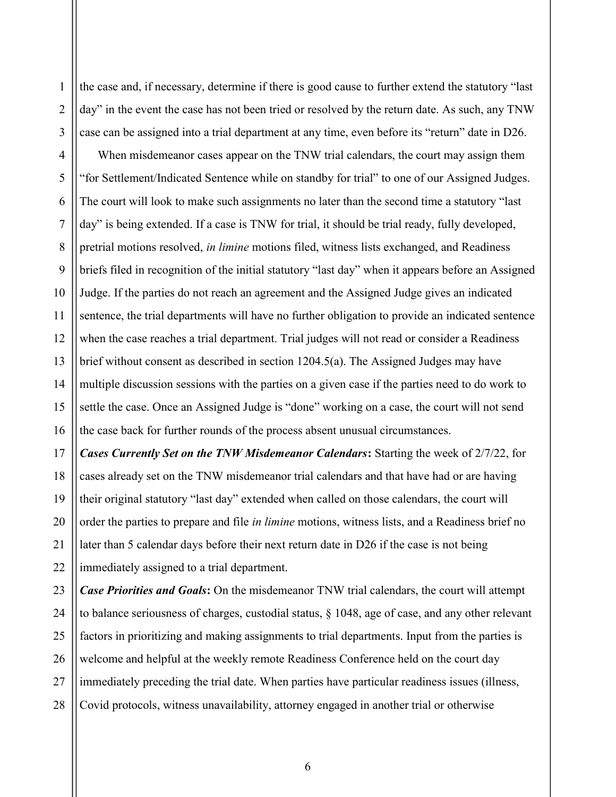1 2 3 4 5 6 7 8 9 10 11 12 13 14 15 16 the case and, if necessary, determine if there is good cause to further extend the statutory "last day" in the event the case has not been tried or resolved by the return date. As such, any TNW case can be assigned into a trial department at any time, even before its "return" date in D26. When misdemeanor cases appear on the TNW trial calendars, the court may assign them "for Settlement/Indicated Sentence while on standby for trial" to one of our Assigned Judges. The court will look to make such assignments no later than the second time a statutory "last day" is being extended. If a case is TNW for trial, it should be trial ready, fully developed, pretrial motions resolved, in limine motions filed, witness lists exchanged, and Readiness briefs filed in recognition of the initial statutory "last day" when it appears before an Assigned Judge. If the parties do not reach an agreement and the Assigned Judge gives an indicated sentence, the trial departments will have no further obligation to provide an indicated sentence when the case reaches a trial department. Trial judges will not read or consider a Readiness brief without consent as described in section 1204.5(a). The Assigned Judges may have multiple discussion sessions with the parties on a given case if the parties need to do work to settle the case. Once an Assigned Judge is "done" working on a case, the court will not send the case back for further rounds of the process absent unusual circumstances.

17 18 19 20 21 22 Cases Currently Set on the TNW Misdemeanor Calendars: Starting the week of 2/7/22, for cases already set on the TNW misdemeanor trial calendars and that have had or are having their original statutory "last day" extended when called on those calendars, the court will order the parties to prepare and file *in limine* motions, witness lists, and a Readiness brief no later than 5 calendar days before their next return date in D26 if the case is not being immediately assigned to a trial department.

23 24 25 26 27 28 **Case Priorities and Goals:** On the misdemeanor TNW trial calendars, the court will attempt to balance seriousness of charges, custodial status, § 1048, age of case, and any other relevant factors in prioritizing and making assignments to trial departments. Input from the parties is welcome and helpful at the weekly remote Readiness Conference held on the court day immediately preceding the trial date. When parties have particular readiness issues (illness, Covid protocols, witness unavailability, attorney engaged in another trial or otherwise